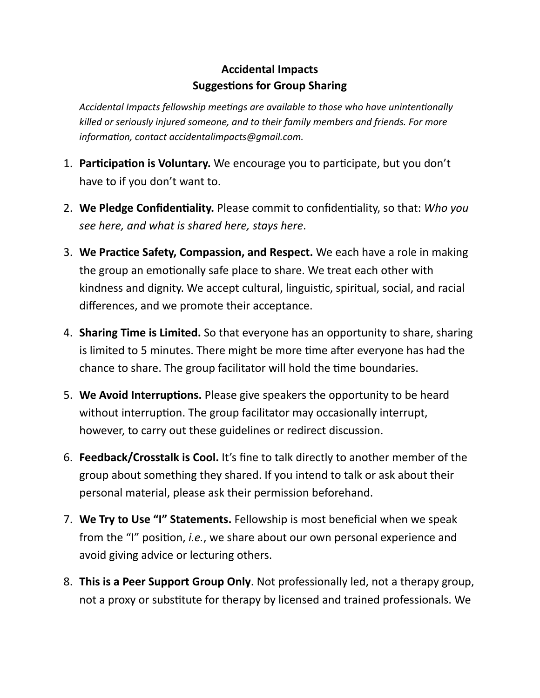## **Accidental Impacts Suggestions for Group Sharing**

*Accidental Impacts fellowship meetings are available to those who have unintentionally killed or seriously injured someone, and to their family members and friends. For more information, contact accidentalimpacts@gmail.com.*

- 1. **Participation is Voluntary.** We encourage you to participate, but you don't have to if you don't want to.
- 2. **We Pledge Confidentiality.** Please commit to confidentiality, so that: *Who you see here, and what is shared here, stays here*.
- 3. **We Practice Safety, Compassion, and Respect.** We each have a role in making the group an emotionally safe place to share. We treat each other with kindness and dignity. We accept cultural, linguistic, spiritual, social, and racial differences, and we promote their acceptance.
- 4. **Sharing Time is Limited.** So that everyone has an opportunity to share, sharing is limited to 5 minutes. There might be more time after everyone has had the chance to share. The group facilitator will hold the time boundaries.
- 5. **We Avoid Interruptions.** Please give speakers the opportunity to be heard without interruption. The group facilitator may occasionally interrupt, however, to carry out these guidelines or redirect discussion.
- 6. **Feedback/Crosstalk is Cool.** It's fine to talk directly to another member of the group about something they shared. If you intend to talk or ask about their personal material, please ask their permission beforehand.
- 7. **We Try to Use "I" Statements.** Fellowship is most beneficial when we speak from the "I" position, *i.e.*, we share about our own personal experience and avoid giving advice or lecturing others.
- 8. **This is a Peer Support Group Only**. Not professionally led, not a therapy group, not a proxy or substitute for therapy by licensed and trained professionals. We